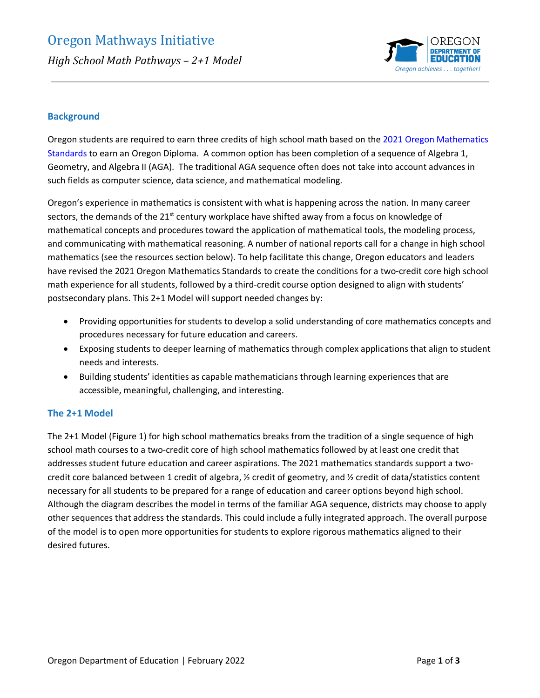

# **Background**

Oregon students are required to earn three credits of high school math based on the [2021 Oregon Mathematics](https://www.oregon.gov/ode/educator-resources/standards/mathematics/Pages/MathStandards.aspx)  [Standards](https://www.oregon.gov/ode/educator-resources/standards/mathematics/Pages/MathStandards.aspx) to earn an Oregon Diploma. A common option has been completion of a sequence of Algebra 1, Geometry, and Algebra II (AGA). The traditional AGA sequence often does not take into account advances in such fields as computer science, data science, and mathematical modeling.

Oregon's experience in mathematics is consistent with what is happening across the nation. In many career sectors, the demands of the  $21<sup>st</sup>$  century workplace have shifted away from a focus on knowledge of mathematical concepts and procedures toward the application of mathematical tools, the modeling process, and communicating with mathematical reasoning. A number of national reports call for a change in high school mathematics (see the resources section below). To help facilitate this change, Oregon educators and leaders have revised the 2021 Oregon Mathematics Standards to create the conditions for a two-credit core high school math experience for all students, followed by a third-credit course option designed to align with students' postsecondary plans. This 2+1 Model will support needed changes by:

- Providing opportunities for students to develop a solid understanding of core mathematics concepts and procedures necessary for future education and careers.
- Exposing students to deeper learning of mathematics through complex applications that align to student needs and interests.
- Building students' identities as capable mathematicians through learning experiences that are accessible, meaningful, challenging, and interesting.

## **The 2+1 Model**

The 2+1 Model (Figure 1) for high school mathematics breaks from the tradition of a single sequence of high school math courses to a two-credit core of high school mathematics followed by at least one credit that addresses student future education and career aspirations. The 2021 mathematics standards support a twocredit core balanced between 1 credit of algebra, ½ credit of geometry, and ½ credit of data/statistics content necessary for all students to be prepared for a range of education and career options beyond high school. Although the diagram describes the model in terms of the familiar AGA sequence, districts may choose to apply other sequences that address the standards. This could include a fully integrated approach. The overall purpose of the model is to open more opportunities for students to explore rigorous mathematics aligned to their desired futures.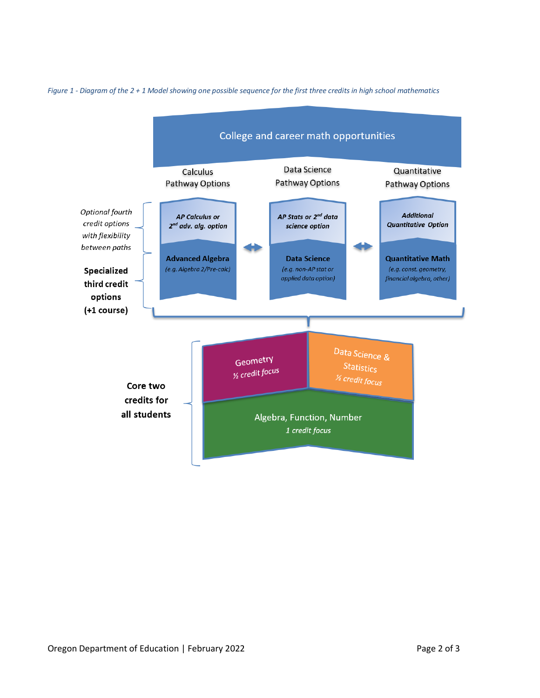

*Figure 1 - Diagram of the 2 + 1 Model showing one possible sequence for the first three credits in high school mathematics*